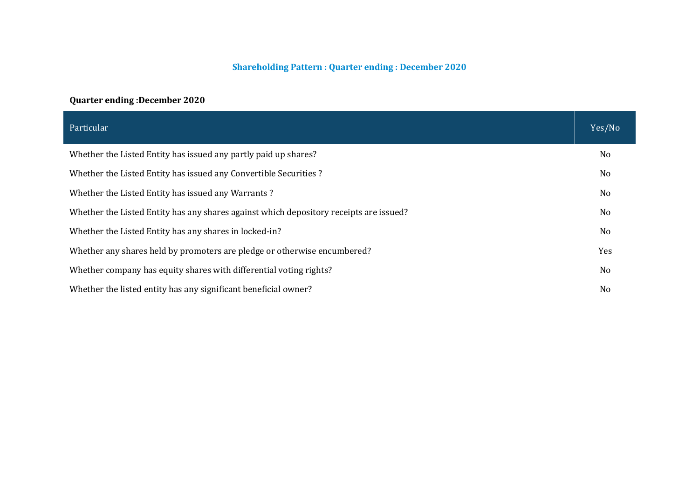#### **Shareholding Pattern : Quarter ending : December 2020**

# **Quarter ending :December 2020**

| Particular                                                                             | Yes/No         |
|----------------------------------------------------------------------------------------|----------------|
| Whether the Listed Entity has issued any partly paid up shares?                        | N <sub>0</sub> |
| Whether the Listed Entity has issued any Convertible Securities?                       | No             |
| Whether the Listed Entity has issued any Warrants?                                     | N <sub>0</sub> |
| Whether the Listed Entity has any shares against which depository receipts are issued? | No             |
| Whether the Listed Entity has any shares in locked-in?                                 | N <sub>o</sub> |
| Whether any shares held by promoters are pledge or otherwise encumbered?               | Yes            |
| Whether company has equity shares with differential voting rights?                     | N <sub>o</sub> |
| Whether the listed entity has any significant beneficial owner?                        | N <sub>0</sub> |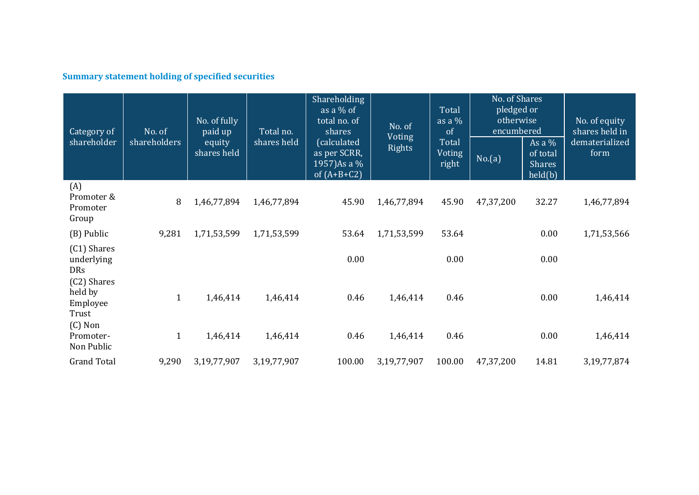# **Summary statement holding of specified securities**

| Category of<br>shareholder                               | No. of<br>shareholders | No. of fully<br>paid up<br>equity<br>shares held | Total no.<br>shares held | Shareholding<br>as a $%$ of<br>total no. of<br>shares<br>(calculated<br>as per SCRR,<br>1957)As a %<br>of $(A+B+C2)$ | No. of<br><b>Voting</b><br><b>Rights</b> | Total<br>as a $\frac{9}{6}$<br>of<br>Total<br>Voting<br>right | No. of Shares<br>pledged or<br>otherwise<br>encumbered<br>No.(a) | As $a\%$<br>of total<br><b>Shares</b><br>held(b) | No. of equity<br>shares held in<br>dematerialized<br>form |
|----------------------------------------------------------|------------------------|--------------------------------------------------|--------------------------|----------------------------------------------------------------------------------------------------------------------|------------------------------------------|---------------------------------------------------------------|------------------------------------------------------------------|--------------------------------------------------|-----------------------------------------------------------|
| (A)<br>Promoter &<br>Promoter<br>Group                   | 8                      | 1,46,77,894                                      | 1,46,77,894              | 45.90                                                                                                                | 1,46,77,894                              | 45.90                                                         | 47,37,200                                                        | 32.27                                            | 1,46,77,894                                               |
| (B) Public                                               | 9,281                  | 1,71,53,599                                      | 1,71,53,599              | 53.64                                                                                                                | 1,71,53,599                              | 53.64                                                         |                                                                  | 0.00                                             | 1,71,53,566                                               |
| (C1) Shares<br>underlying<br><b>DRs</b>                  |                        |                                                  |                          | 0.00                                                                                                                 |                                          | 0.00                                                          |                                                                  | 0.00                                             |                                                           |
| (C2) Shares<br>held by<br>Employee<br>Trust<br>$(C)$ Non | $\mathbf{1}$           | 1,46,414                                         | 1,46,414                 | 0.46                                                                                                                 | 1,46,414                                 | 0.46                                                          |                                                                  | 0.00                                             | 1,46,414                                                  |
| Promoter-<br>Non Public                                  | $\mathbf{1}$           | 1,46,414                                         | 1,46,414                 | 0.46                                                                                                                 | 1,46,414                                 | 0.46                                                          |                                                                  | 0.00                                             | 1,46,414                                                  |
| <b>Grand Total</b>                                       | 9,290                  | 3,19,77,907                                      | 3,19,77,907              | 100.00                                                                                                               | 3,19,77,907                              | 100.00                                                        | 47,37,200                                                        | 14.81                                            | 3, 19, 77, 874                                            |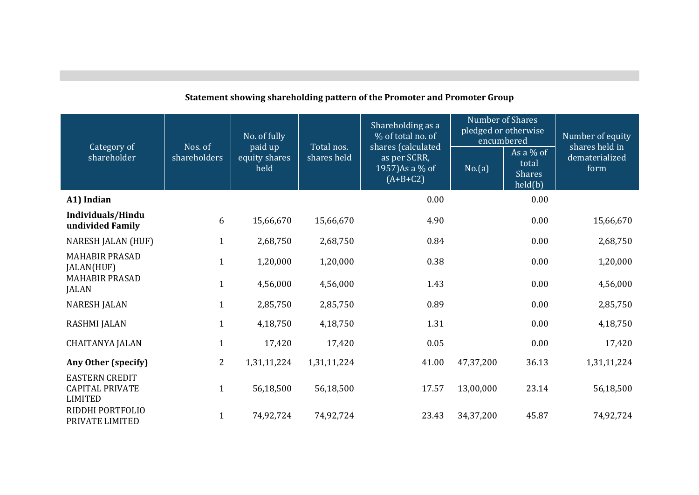| Category of                                                       | Nos. of      | No. of fully<br>paid up | Total nos.  | Shareholding as a<br>% of total no. of<br>shares (calculated | <b>Number of Shares</b><br>pledged or otherwise<br>encumbered |                                                  | Number of equity<br>shares held in |
|-------------------------------------------------------------------|--------------|-------------------------|-------------|--------------------------------------------------------------|---------------------------------------------------------------|--------------------------------------------------|------------------------------------|
| shareholder                                                       | shareholders | equity shares<br>held   | shares held | as per SCRR,<br>1957) As a % of<br>$(A+B+C2)$                | No.(a)                                                        | As a $%$ of<br>total<br><b>Shares</b><br>held(b) | dematerialized<br>form             |
| A1) Indian                                                        |              |                         |             | 0.00                                                         |                                                               | 0.00                                             |                                    |
| Individuals/Hindu<br>undivided Family                             | 6            | 15,66,670               | 15,66,670   | 4.90                                                         |                                                               | 0.00                                             | 15,66,670                          |
| <b>NARESH JALAN (HUF)</b>                                         | $\mathbf{1}$ | 2,68,750                | 2,68,750    | 0.84                                                         |                                                               | 0.00                                             | 2,68,750                           |
| <b>MAHABIR PRASAD</b><br>JALAN(HUF)                               | $\mathbf{1}$ | 1,20,000                | 1,20,000    | 0.38                                                         |                                                               | 0.00                                             | 1,20,000                           |
| <b>MAHABIR PRASAD</b><br><b>JALAN</b>                             | $\mathbf{1}$ | 4,56,000                | 4,56,000    | 1.43                                                         |                                                               | 0.00                                             | 4,56,000                           |
| <b>NARESH JALAN</b>                                               | $\mathbf{1}$ | 2,85,750                | 2,85,750    | 0.89                                                         |                                                               | 0.00                                             | 2,85,750                           |
| <b>RASHMI JALAN</b>                                               | $\mathbf{1}$ | 4,18,750                | 4,18,750    | 1.31                                                         |                                                               | 0.00                                             | 4,18,750                           |
| <b>CHAITANYA JALAN</b>                                            | $\mathbf{1}$ | 17,420                  | 17,420      | 0.05                                                         |                                                               | 0.00                                             | 17,420                             |
| Any Other (specify)                                               | 2            | 1,31,11,224             | 1,31,11,224 | 41.00                                                        | 47,37,200                                                     | 36.13                                            | 1,31,11,224                        |
| <b>EASTERN CREDIT</b><br><b>CAPITAL PRIVATE</b><br><b>LIMITED</b> | $\mathbf{1}$ | 56,18,500               | 56,18,500   | 17.57                                                        | 13,00,000                                                     | 23.14                                            | 56,18,500                          |
| RIDDHI PORTFOLIO<br>PRIVATE LIMITED                               | $\mathbf{1}$ | 74,92,724               | 74,92,724   | 23.43                                                        | 34,37,200                                                     | 45.87                                            | 74,92,724                          |

# **Statement showing shareholding pattern of the Promoter and Promoter Group**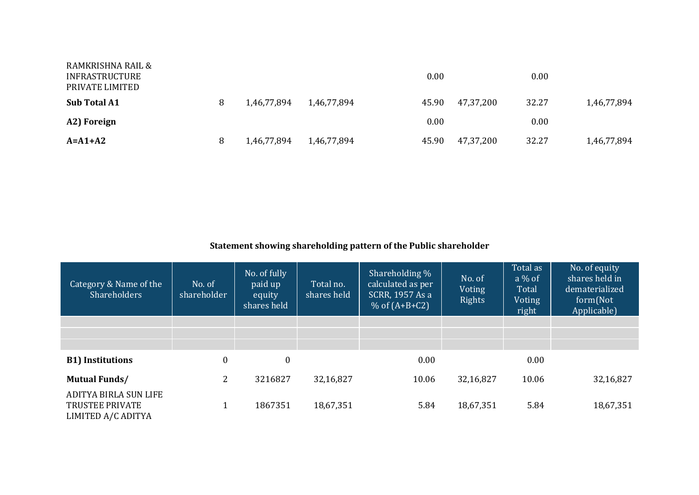| RAMKRISHNA RAIL &<br>INFRASTRUCTURE<br>PRIVATE LIMITED |   |             |             | 0.00  |           | 0.00  |             |
|--------------------------------------------------------|---|-------------|-------------|-------|-----------|-------|-------------|
| <b>Sub Total A1</b>                                    | 8 | 1,46,77,894 | 1,46,77,894 | 45.90 | 47,37,200 | 32.27 | 1,46,77,894 |
| A2) Foreign                                            |   |             |             | 0.00  |           | 0.00  |             |
| $A = A1 + A2$                                          | 8 | 1,46,77,894 | 1,46,77,894 | 45.90 | 47,37,200 | 32.27 | 1,46,77,894 |

# **Statement showing shareholding pattern of the Public shareholder**

| Category & Name of the<br>Shareholders                                | No. of<br>shareholder | No. of fully<br>paid up<br>equity<br>shares held | Total no.<br>shares held | Shareholding %<br>calculated as per<br>SCRR, 1957 As a<br>% of $(A+B+C2)$ | No. of<br>Voting<br><b>Rights</b> | Total as<br>$a\%$ of<br>Total<br>Voting<br>right | No. of equity<br>shares held in<br>dematerialized<br>form(Not<br>Applicable) |
|-----------------------------------------------------------------------|-----------------------|--------------------------------------------------|--------------------------|---------------------------------------------------------------------------|-----------------------------------|--------------------------------------------------|------------------------------------------------------------------------------|
|                                                                       |                       |                                                  |                          |                                                                           |                                   |                                                  |                                                                              |
|                                                                       |                       |                                                  |                          |                                                                           |                                   |                                                  |                                                                              |
|                                                                       |                       |                                                  |                          |                                                                           |                                   |                                                  |                                                                              |
| <b>B1)</b> Institutions                                               | $\mathbf{0}$          | $\boldsymbol{0}$                                 |                          | 0.00                                                                      |                                   | 0.00                                             |                                                                              |
| <b>Mutual Funds/</b>                                                  | $\overline{2}$        | 3216827                                          | 32,16,827                | 10.06                                                                     | 32,16,827                         | 10.06                                            | 32,16,827                                                                    |
| ADITYA BIRLA SUN LIFE<br><b>TRUSTEE PRIVATE</b><br>LIMITED A/C ADITYA |                       | 1867351                                          | 18,67,351                | 5.84                                                                      | 18,67,351                         | 5.84                                             | 18,67,351                                                                    |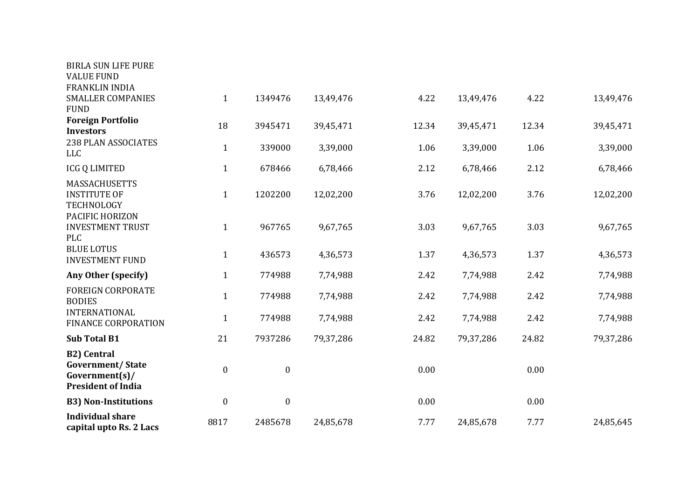| <b>BIRLA SUN LIFE PURE</b><br><b>VALUE FUND</b>                                              |                  |                  |           |       |           |       |           |
|----------------------------------------------------------------------------------------------|------------------|------------------|-----------|-------|-----------|-------|-----------|
| FRANKLIN INDIA                                                                               |                  |                  |           |       |           |       |           |
| <b>SMALLER COMPANIES</b><br><b>FUND</b>                                                      | $\mathbf{1}$     | 1349476          | 13,49,476 | 4.22  | 13,49,476 | 4.22  | 13,49,476 |
| <b>Foreign Portfolio</b><br><b>Investors</b>                                                 | 18               | 3945471          | 39,45,471 | 12.34 | 39,45,471 | 12.34 | 39,45,471 |
| 238 PLAN ASSOCIATES<br><b>LLC</b>                                                            | $\mathbf{1}$     | 339000           | 3,39,000  | 1.06  | 3,39,000  | 1.06  | 3,39,000  |
| <b>ICG Q LIMITED</b>                                                                         | $\mathbf{1}$     | 678466           | 6,78,466  | 2.12  | 6,78,466  | 2.12  | 6,78,466  |
| <b>MASSACHUSETTS</b><br><b>INSTITUTE OF</b><br>TECHNOLOGY                                    | $\mathbf{1}$     | 1202200          | 12,02,200 | 3.76  | 12,02,200 | 3.76  | 12,02,200 |
| PACIFIC HORIZON<br><b>INVESTMENT TRUST</b><br><b>PLC</b>                                     | $\mathbf{1}$     | 967765           | 9,67,765  | 3.03  | 9,67,765  | 3.03  | 9,67,765  |
| <b>BLUE LOTUS</b><br><b>INVESTMENT FUND</b>                                                  | $\mathbf{1}$     | 436573           | 4,36,573  | 1.37  | 4,36,573  | 1.37  | 4,36,573  |
| Any Other (specify)                                                                          | $\mathbf{1}$     | 774988           | 7,74,988  | 2.42  | 7,74,988  | 2.42  | 7,74,988  |
| <b>FOREIGN CORPORATE</b><br><b>BODIES</b>                                                    | $\mathbf{1}$     | 774988           | 7,74,988  | 2.42  | 7,74,988  | 2.42  | 7,74,988  |
| <b>INTERNATIONAL</b><br><b>FINANCE CORPORATION</b>                                           | $\mathbf{1}$     | 774988           | 7,74,988  | 2.42  | 7,74,988  | 2.42  | 7,74,988  |
| <b>Sub Total B1</b>                                                                          | 21               | 7937286          | 79,37,286 | 24.82 | 79,37,286 | 24.82 | 79,37,286 |
| <b>B2)</b> Central<br><b>Government/State</b><br>Government(s)/<br><b>President of India</b> | $\boldsymbol{0}$ | $\boldsymbol{0}$ |           | 0.00  |           | 0.00  |           |
| <b>B3) Non-Institutions</b>                                                                  | $\boldsymbol{0}$ | $\boldsymbol{0}$ |           | 0.00  |           | 0.00  |           |
| <b>Individual share</b><br>capital upto Rs. 2 Lacs                                           | 8817             | 2485678          | 24,85,678 | 7.77  | 24,85,678 | 7.77  | 24,85,645 |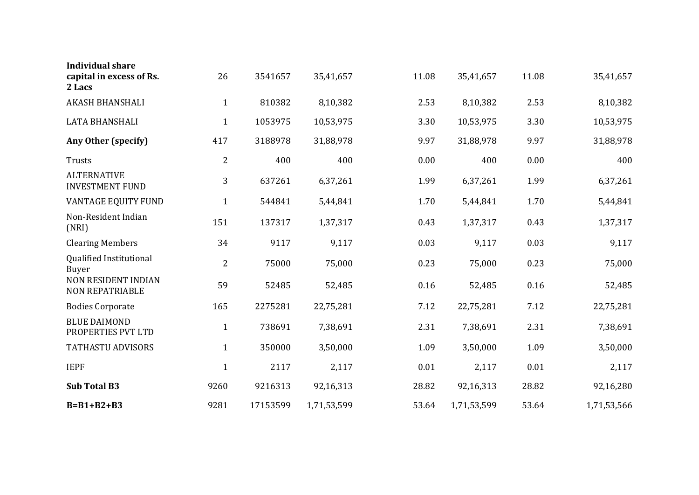| <b>Individual share</b>                              |                |          |             |       |             |       |             |
|------------------------------------------------------|----------------|----------|-------------|-------|-------------|-------|-------------|
| capital in excess of Rs.<br>2 Lacs                   | 26             | 3541657  | 35,41,657   | 11.08 | 35,41,657   | 11.08 | 35,41,657   |
| AKASH BHANSHALI                                      | $\mathbf{1}$   | 810382   | 8,10,382    | 2.53  | 8,10,382    | 2.53  | 8,10,382    |
| LATA BHANSHALI                                       | $\mathbf{1}$   | 1053975  | 10,53,975   | 3.30  | 10,53,975   | 3.30  | 10,53,975   |
| Any Other (specify)                                  | 417            | 3188978  | 31,88,978   | 9.97  | 31,88,978   | 9.97  | 31,88,978   |
| Trusts                                               | $\overline{2}$ | 400      | 400         | 0.00  | 400         | 0.00  | 400         |
| <b>ALTERNATIVE</b><br><b>INVESTMENT FUND</b>         | 3              | 637261   | 6,37,261    | 1.99  | 6,37,261    | 1.99  | 6,37,261    |
| VANTAGE EQUITY FUND                                  | $\mathbf{1}$   | 544841   | 5,44,841    | 1.70  | 5,44,841    | 1.70  | 5,44,841    |
| Non-Resident Indian<br>(NRI)                         | 151            | 137317   | 1,37,317    | 0.43  | 1,37,317    | 0.43  | 1,37,317    |
| <b>Clearing Members</b>                              | 34             | 9117     | 9,117       | 0.03  | 9,117       | 0.03  | 9,117       |
| Qualified Institutional<br>Buyer                     | $\overline{2}$ | 75000    | 75,000      | 0.23  | 75,000      | 0.23  | 75,000      |
| <b>NON RESIDENT INDIAN</b><br><b>NON REPATRIABLE</b> | 59             | 52485    | 52,485      | 0.16  | 52,485      | 0.16  | 52,485      |
| <b>Bodies Corporate</b>                              | 165            | 2275281  | 22,75,281   | 7.12  | 22,75,281   | 7.12  | 22,75,281   |
| <b>BLUE DAIMOND</b><br>PROPERTIES PVT LTD            | $\mathbf{1}$   | 738691   | 7,38,691    | 2.31  | 7,38,691    | 2.31  | 7,38,691    |
| <b>TATHASTU ADVISORS</b>                             | $\mathbf{1}$   | 350000   | 3,50,000    | 1.09  | 3,50,000    | 1.09  | 3,50,000    |
| <b>IEPF</b>                                          | $\mathbf{1}$   | 2117     | 2,117       | 0.01  | 2,117       | 0.01  | 2,117       |
| <b>Sub Total B3</b>                                  | 9260           | 9216313  | 92,16,313   | 28.82 | 92,16,313   | 28.82 | 92,16,280   |
| $B = B1 + B2 + B3$                                   | 9281           | 17153599 | 1,71,53,599 | 53.64 | 1,71,53,599 | 53.64 | 1,71,53,566 |